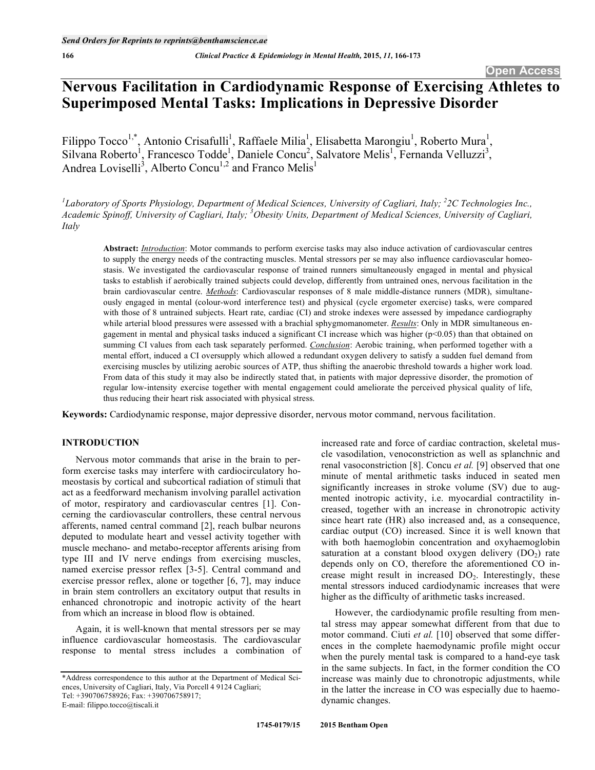# **Nervous Facilitation in Cardiodynamic Response of Exercising Athletes to Superimposed Mental Tasks: Implications in Depressive Disorder**

Filippo Tocco<sup>1,\*</sup>, Antonio Crisafulli<sup>1</sup>, Raffaele Milia<sup>1</sup>, Elisabetta Marongiu<sup>1</sup>, Roberto Mura<sup>1</sup>, Silvana Roberto<sup>1</sup>, Francesco Todde<sup>1</sup>, Daniele Concu<sup>2</sup>, Salvatore Melis<sup>1</sup>, Fernanda Velluzzi<sup>3</sup>, Andrea Loviselli<sup>3</sup>, Alberto Concu<sup>1,2</sup> and Franco Melis<sup>1</sup>

<sup>1</sup>Laboratory of Sports Physiology, Department of Medical Sciences, University of Cagliari, Italy; <sup>2</sup>2C Technologies Inc., *Academic Spinoff, University of Cagliari, Italy; <sup>3</sup> Obesity Units, Department of Medical Sciences, University of Cagliari, Italy* 

**Abstract:** *Introduction*: Motor commands to perform exercise tasks may also induce activation of cardiovascular centres to supply the energy needs of the contracting muscles. Mental stressors per se may also influence cardiovascular homeostasis. We investigated the cardiovascular response of trained runners simultaneously engaged in mental and physical tasks to establish if aerobically trained subjects could develop, differently from untrained ones, nervous facilitation in the brain cardiovascular centre. *Methods*: Cardiovascular responses of 8 male middle-distance runners (MDR), simultaneously engaged in mental (colour-word interference test) and physical (cycle ergometer exercise) tasks, were compared with those of 8 untrained subjects. Heart rate, cardiac (CI) and stroke indexes were assessed by impedance cardiography while arterial blood pressures were assessed with a brachial sphygmomanometer. *Results*: Only in MDR simultaneous engagement in mental and physical tasks induced a significant CI increase which was higher (p<0.05) than that obtained on summing CI values from each task separately performed. *Conclusion*: Aerobic training, when performed together with a mental effort, induced a CI oversupply which allowed a redundant oxygen delivery to satisfy a sudden fuel demand from exercising muscles by utilizing aerobic sources of ATP, thus shifting the anaerobic threshold towards a higher work load. From data of this study it may also be indirectly stated that, in patients with major depressive disorder, the promotion of regular low-intensity exercise together with mental engagement could ameliorate the perceived physical quality of life, thus reducing their heart risk associated with physical stress.

**Keywords:** Cardiodynamic response, major depressive disorder, nervous motor command, nervous facilitation.

### **INTRODUCTION**

Nervous motor commands that arise in the brain to perform exercise tasks may interfere with cardiocirculatory homeostasis by cortical and subcortical radiation of stimuli that act as a feedforward mechanism involving parallel activation of motor, respiratory and cardiovascular centres [1]. Concerning the cardiovascular controllers, these central nervous afferents, named central command [2], reach bulbar neurons deputed to modulate heart and vessel activity together with muscle mechano- and metabo-receptor afferents arising from type III and IV nerve endings from exercising muscles, named exercise pressor reflex [3-5]. Central command and exercise pressor reflex, alone or together [6, 7], may induce in brain stem controllers an excitatory output that results in enhanced chronotropic and inotropic activity of the heart from which an increase in blood flow is obtained.

Again, it is well-known that mental stressors per se may influence cardiovascular homeostasis. The cardiovascular response to mental stress includes a combination of increased rate and force of cardiac contraction, skeletal muscle vasodilation, venoconstriction as well as splanchnic and renal vasoconstriction [8]. Concu *et al.* [9] observed that one minute of mental arithmetic tasks induced in seated men significantly increases in stroke volume (SV) due to augmented inotropic activity, i.e. myocardial contractility increased, together with an increase in chronotropic activity since heart rate (HR) also increased and, as a consequence, cardiac output (CO) increased. Since it is well known that with both haemoglobin concentration and oxyhaemoglobin saturation at a constant blood oxygen delivery  $(DO<sub>2</sub>)$  rate depends only on CO, therefore the aforementioned CO increase might result in increased  $DO<sub>2</sub>$ . Interestingly, these mental stressors induced cardiodynamic increases that were higher as the difficulty of arithmetic tasks increased.

However, the cardiodynamic profile resulting from mental stress may appear somewhat different from that due to motor command. Ciuti *et al.* [10] observed that some differences in the complete haemodynamic profile might occur when the purely mental task is compared to a hand-eye task in the same subjects. In fact, in the former condition the CO increase was mainly due to chronotropic adjustments, while in the latter the increase in CO was especially due to haemodynamic changes.

<sup>\*</sup>Address correspondence to this author at the Department of Medical Sciences, University of Cagliari, Italy, Via Porcell 4 9124 Cagliari; Tel: +390706758926; Fax: +390706758917;

E-mail: filippo.tocco@tiscali.it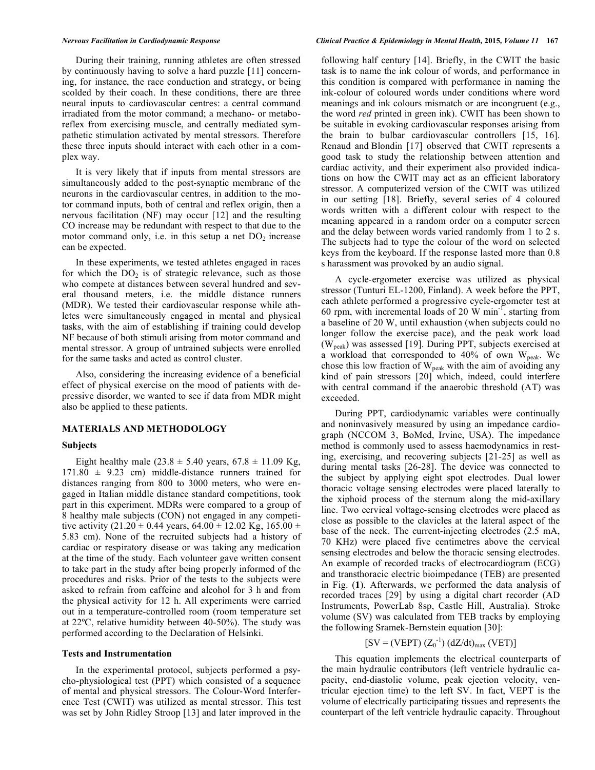During their training, running athletes are often stressed by continuously having to solve a hard puzzle [11] concerning, for instance, the race conduction and strategy, or being scolded by their coach. In these conditions, there are three neural inputs to cardiovascular centres: a central command irradiated from the motor command; a mechano- or metaboreflex from exercising muscle, and centrally mediated sympathetic stimulation activated by mental stressors. Therefore these three inputs should interact with each other in a complex way.

It is very likely that if inputs from mental stressors are simultaneously added to the post-synaptic membrane of the neurons in the cardiovascular centres, in addition to the motor command inputs, both of central and reflex origin, then a nervous facilitation (NF) may occur [12] and the resulting CO increase may be redundant with respect to that due to the motor command only, i.e. in this setup a net  $DO<sub>2</sub>$  increase can be expected.

In these experiments, we tested athletes engaged in races for which the  $DO<sub>2</sub>$  is of strategic relevance, such as those who compete at distances between several hundred and several thousand meters, i.e. the middle distance runners (MDR). We tested their cardiovascular response while athletes were simultaneously engaged in mental and physical tasks, with the aim of establishing if training could develop NF because of both stimuli arising from motor command and mental stressor. A group of untrained subjects were enrolled for the same tasks and acted as control cluster.

Also, considering the increasing evidence of a beneficial effect of physical exercise on the mood of patients with depressive disorder, we wanted to see if data from MDR might also be applied to these patients.

#### **MATERIALS AND METHODOLOGY**

#### **Subjects**

Eight healthy male (23.8  $\pm$  5.40 years, 67.8  $\pm$  11.09 Kg,  $171.80 \pm 9.23$  cm) middle-distance runners trained for distances ranging from 800 to 3000 meters, who were engaged in Italian middle distance standard competitions, took part in this experiment. MDRs were compared to a group of 8 healthy male subjects (CON) not engaged in any competitive activity (21.20  $\pm$  0.44 years, 64.00  $\pm$  12.02 Kg, 165.00  $\pm$ 5.83 cm). None of the recruited subjects had a history of cardiac or respiratory disease or was taking any medication at the time of the study. Each volunteer gave written consent to take part in the study after being properly informed of the procedures and risks. Prior of the tests to the subjects were asked to refrain from caffeine and alcohol for 3 h and from the physical activity for 12 h. All experiments were carried out in a temperature-controlled room (room temperature set at 22ºC, relative humidity between 40-50%). The study was performed according to the Declaration of Helsinki.

### **Tests and Instrumentation**

In the experimental protocol, subjects performed a psycho-physiological test (PPT) which consisted of a sequence of mental and physical stressors. The Colour-Word Interference Test (CWIT) was utilized as mental stressor. This test was set by John Ridley Stroop [13] and later improved in the

#### *Nervous Facilitation in Cardiodynamic Response Clinical Practice & Epidemiology in Mental Health,* **2015***, Volume 11* **167**

following half century [14]. Briefly, in the CWIT the basic task is to name the ink colour of words, and performance in this condition is compared with performance in naming the ink-colour of coloured words under conditions where word meanings and ink colours mismatch or are incongruent (e.g., the word *red* printed in green ink). CWIT has been shown to be suitable in evoking cardiovascular responses arising from the brain to bulbar cardiovascular controllers [15, 16]. Renaud and Blondin [17] observed that CWIT represents a good task to study the relationship between attention and cardiac activity, and their experiment also provided indications on how the CWIT may act as an efficient laboratory stressor. A computerized version of the CWIT was utilized in our setting [18]. Briefly, several series of 4 coloured words written with a different colour with respect to the meaning appeared in a random order on a computer screen and the delay between words varied randomly from 1 to 2 s. The subjects had to type the colour of the word on selected keys from the keyboard. If the response lasted more than 0.8 s harassment was provoked by an audio signal.

A cycle-ergometer exercise was utilized as physical stressor (Tunturi EL-1200, Finland). A week before the PPT, each athlete performed a progressive cycle-ergometer test at 60 rpm, with incremental loads of 20 W min-1, starting from a baseline of 20 W, until exhaustion (when subjects could no longer follow the exercise pace), and the peak work load  $(W_{peak})$  was assessed [19]. During PPT, subjects exercised at a workload that corresponded to 40% of own  $W_{peak}$ . We chose this low fraction of  $W_{peak}$  with the aim of avoiding any kind of pain stressors [20] which, indeed, could interfere with central command if the anaerobic threshold  $(AT)$  was exceeded.

During PPT, cardiodynamic variables were continually and noninvasively measured by using an impedance cardiograph (NCCOM 3, BoMed, Irvine, USA). The impedance method is commonly used to assess haemodynamics in resting, exercising, and recovering subjects [21-25] as well as during mental tasks [26-28]. The device was connected to the subject by applying eight spot electrodes. Dual lower thoracic voltage sensing electrodes were placed laterally to the xiphoid process of the sternum along the mid-axillary line. Two cervical voltage-sensing electrodes were placed as close as possible to the clavicles at the lateral aspect of the base of the neck. The current-injecting electrodes (2.5 mA, 70 KHz) were placed five centimetres above the cervical sensing electrodes and below the thoracic sensing electrodes. An example of recorded tracks of electrocardiogram (ECG) and transthoracic electric bioimpedance (TEB) are presented in Fig. (**1**). Afterwards, we performed the data analysis of recorded traces [29] by using a digital chart recorder (AD Instruments, PowerLab 8sp, Castle Hill, Australia). Stroke volume (SV) was calculated from TEB tracks by employing the following Sramek-Bernstein equation [30]:

## $[SV = (VEPT) (Z_0^{-1}) (dZ/dt)_{max} (VET)]$

This equation implements the electrical counterparts of the main hydraulic contributors (left ventricle hydraulic capacity, end-diastolic volume, peak ejection velocity, ventricular ejection time) to the left SV. In fact, VEPT is the volume of electrically participating tissues and represents the counterpart of the left ventricle hydraulic capacity. Throughout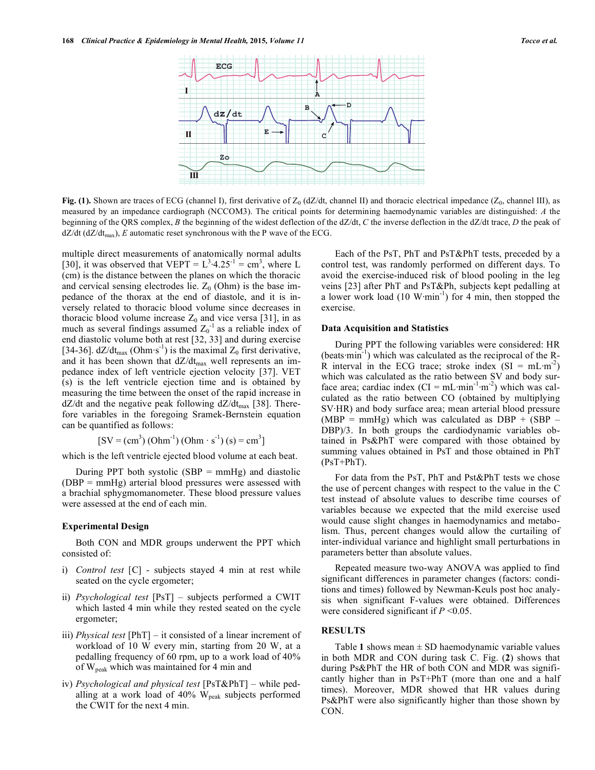

**Fig. (1).** Shown are traces of ECG (channel I), first derivative of  $Z_0$  (dZ/dt, channel II) and thoracic electrical impedance ( $Z_0$ , channel III), as measured by an impedance cardiograph (NCCOM3). The critical points for determining haemodynamic variables are distinguished: *A* the beginning of the QRS complex, *B* the beginning of the widest deflection of the dZ/dt, *C* the inverse deflection in the dZ/dt trace, *D* the peak of  $dZ/dt$  ( $dZ/dt_{\text{max}}$ ), *E* automatic reset synchronous with the P wave of the ECG.

multiple direct measurements of anatomically normal adults [30], it was observed that VEPT =  $L^3 \cdot 4.25^{-1} = \text{cm}^3$ , where L (cm) is the distance between the planes on which the thoracic and cervical sensing electrodes lie.  $Z_0$  (Ohm) is the base impedance of the thorax at the end of diastole, and it is inversely related to thoracic blood volume since decreases in thoracic blood volume increase  $Z_0$  and vice versa [31], in as much as several findings assumed  $Z_0^{-1}$  as a reliable index of end diastolic volume both at rest [32, 33] and during exercise [34-36].  $dZ/dt_{max}$  (Ohm·s<sup>-1</sup>) is the maximal  $Z_0$  first derivative, and it has been shown that  $dZ/dt_{\text{max}}$  well represents an impedance index of left ventricle ejection velocity [37]. VET (s) is the left ventricle ejection time and is obtained by measuring the time between the onset of the rapid increase in  $dZ/dt$  and the negative peak following  $dZ/dt_{\text{max}}$  [38]. Therefore variables in the foregoing Sramek-Bernstein equation can be quantified as follows:

$$
[SV = (cm3) (Ohm-1) (Ohm · s-1) (s) = cm3]
$$

which is the left ventricle ejected blood volume at each beat.

During PPT both systolic  $(SBP = mmHg)$  and diastolic (DBP = mmHg) arterial blood pressures were assessed with a brachial sphygmomanometer. These blood pressure values were assessed at the end of each min.

#### **Experimental Design**

Both CON and MDR groups underwent the PPT which consisted of:

- i) *Control test* [C] subjects stayed 4 min at rest while seated on the cycle ergometer;
- ii) *Psychological test* [PsT] subjects performed a CWIT which lasted 4 min while they rested seated on the cycle ergometer;
- iii) *Physical test* [PhT] it consisted of a linear increment of workload of 10 W every min, starting from 20 W, at a pedalling frequency of 60 rpm, up to a work load of 40% of Wpeak which was maintained for 4 min and
- iv) *Psychological and physical test* [PsT&PhT] while pedalling at a work load of 40% W<sub>peak</sub> subjects performed the CWIT for the next 4 min.

Each of the PsT, PhT and PsT&PhT tests, preceded by a control test, was randomly performed on different days. To avoid the exercise-induced risk of blood pooling in the leg veins [23] after PhT and PsT&Ph, subjects kept pedalling at a lower work load  $(10 \text{ W-min}^{-1})$  for 4 min, then stopped the exercise.

#### **Data Acquisition and Statistics**

During PPT the following variables were considered: HR (beats·min-1) which was calculated as the reciprocal of the R-R interval in the ECG trace; stroke index  $(SI = mL·m<sup>2</sup>)$ which was calculated as the ratio between SV and body surface area; cardiac index  $(Cl = mL·min^{-1}·m^{-2})$  which was calculated as the ratio between CO (obtained by multiplying SV·HR) and body surface area; mean arterial blood pressure (MBP = mmHg) which was calculated as DBP +  $(SBP -$ DBP)/3. In both groups the cardiodynamic variables obtained in Ps&PhT were compared with those obtained by summing values obtained in PsT and those obtained in PhT (PsT+PhT).

For data from the PsT, PhT and Pst&PhT tests we chose the use of percent changes with respect to the value in the C test instead of absolute values to describe time courses of variables because we expected that the mild exercise used would cause slight changes in haemodynamics and metabolism. Thus, percent changes would allow the curtailing of inter-individual variance and highlight small perturbations in parameters better than absolute values.

Repeated measure two-way ANOVA was applied to find significant differences in parameter changes (factors: conditions and times) followed by Newman-Keuls post hoc analysis when significant F-values were obtained. Differences were considered significant if *P* <0.05.

### **RESULTS**

Table 1 shows mean  $\pm$  SD haemodynamic variable values in both MDR and CON during task C. Fig. (**2**) shows that during Ps&PhT the HR of both CON and MDR was significantly higher than in PsT+PhT (more than one and a half times). Moreover, MDR showed that HR values during Ps&PhT were also significantly higher than those shown by CON.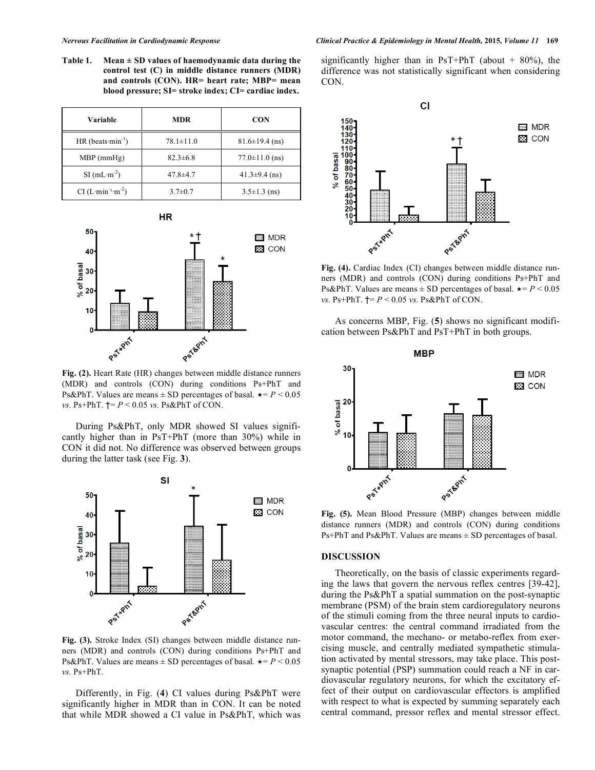**Table 1. Mean ± SD values of haemodynamic data during the control test (C) in middle distance runners (MDR) and controls (CON). HR= heart rate; MBP= mean blood pressure; SI= stroke index; CI= cardiac index.** 

| Variable                           | <b>MDR</b>      | CON                  |  |
|------------------------------------|-----------------|----------------------|--|
| HR (beats $min^{-1}$ )             | $78.1 \pm 11.0$ | $81.6 \pm 19.4$ (ns) |  |
| $MBP$ (mmHg)                       | $82.3 \pm 6.8$  | $77.0 \pm 11.0$ (ns) |  |
| $SI$ (mL $\cdot$ m <sup>-2</sup> ) | $47.8 \pm 4.7$  | $41.3 \pm 9.4$ (ns)  |  |
| $CI(L·min-1·m-2)$                  | $3.7 \pm 0.7$   | $3.5 \pm 1.3$ (ns)   |  |





**Fig. (2).** Heart Rate (HR) changes between middle distance runners (MDR) and controls (CON) during conditions Ps+PhT and Ps&PhT. Values are means  $\pm$  SD percentages of basal.  $\star = P < 0.05$ *vs.* Ps+PhT. †= *P* < 0.05 *vs.* Ps&PhT of CON.

During Ps&PhT, only MDR showed SI values significantly higher than in PsT+PhT (more than 30%) while in CON it did not. No difference was observed between groups during the latter task (see Fig. **3**).



**Fig. (3).** Stroke Index (SI) changes between middle distance runners (MDR) and controls (CON) during conditions Ps+PhT and Ps&PhT. Values are means  $\pm$  SD percentages of basal.  $\star = P < 0.05$ *vs.* Ps+PhT.

Differently, in Fig. (**4**) CI values during Ps&PhT were significantly higher in MDR than in CON. It can be noted that while MDR showed a CI value in Ps&PhT, which was significantly higher than in PsT+PhT (about  $+80\%$ ), the difference was not statistically significant when considering CON.



**Fig. (4).** Cardiac Index (CI) changes between middle distance runners (MDR) and controls (CON) during conditions Ps+PhT and Ps&PhT. Values are means  $\pm$  SD percentages of basal.  $\star = P < 0.05$ *vs.* Ps+PhT. †= *P* < 0.05 *vs.* Ps&PhT of CON.

As concerns MBP, Fig. (**5**) shows no significant modification between Ps&PhT and PsT+PhT in both groups.



**Fig. (5).** Mean Blood Pressure (MBP) changes between middle distance runners (MDR) and controls (CON) during conditions Ps+PhT and Ps&PhT. Values are means ± SD percentages of basal.

#### **DISCUSSION**

Theoretically, on the basis of classic experiments regarding the laws that govern the nervous reflex centres [39-42], during the Ps&PhT a spatial summation on the post-synaptic membrane (PSM) of the brain stem cardioregulatory neurons of the stimuli coming from the three neural inputs to cardiovascular centres: the central command irradiated from the motor command, the mechano- or metabo-reflex from exercising muscle, and centrally mediated sympathetic stimulation activated by mental stressors, may take place. This postsynaptic potential (PSP) summation could reach a NF in cardiovascular regulatory neurons, for which the excitatory effect of their output on cardiovascular effectors is amplified with respect to what is expected by summing separately each central command, pressor reflex and mental stressor effect.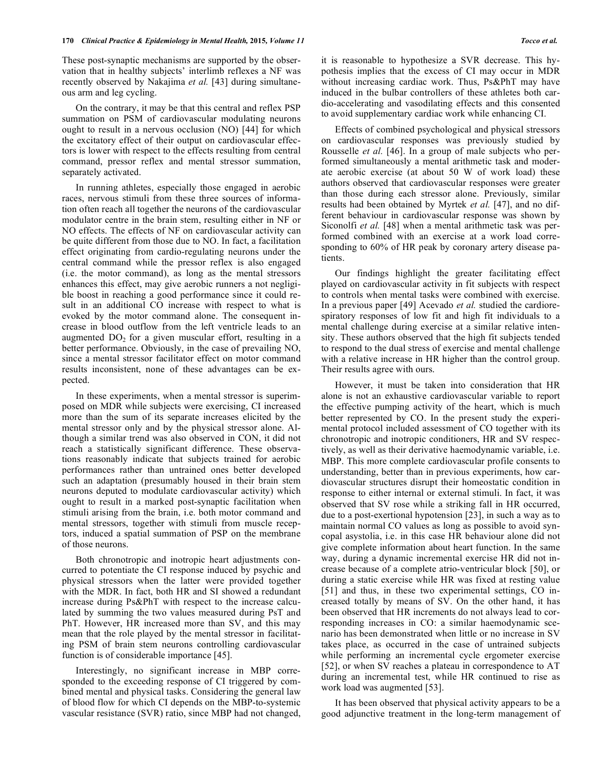These post-synaptic mechanisms are supported by the observation that in healthy subjects' interlimb reflexes a NF was recently observed by Nakajima *et al.* [43] during simultaneous arm and leg cycling.

On the contrary, it may be that this central and reflex PSP summation on PSM of cardiovascular modulating neurons ought to result in a nervous occlusion (NO) [44] for which the excitatory effect of their output on cardiovascular effectors is lower with respect to the effects resulting from central command, pressor reflex and mental stressor summation, separately activated.

In running athletes, especially those engaged in aerobic races, nervous stimuli from these three sources of information often reach all together the neurons of the cardiovascular modulator centre in the brain stem, resulting either in NF or NO effects. The effects of NF on cardiovascular activity can be quite different from those due to NO. In fact, a facilitation effect originating from cardio-regulating neurons under the central command while the pressor reflex is also engaged (i.e. the motor command), as long as the mental stressors enhances this effect, may give aerobic runners a not negligible boost in reaching a good performance since it could result in an additional CO increase with respect to what is evoked by the motor command alone. The consequent increase in blood outflow from the left ventricle leads to an augmented  $DO<sub>2</sub>$  for a given muscular effort, resulting in a better performance. Obviously, in the case of prevailing NO, since a mental stressor facilitator effect on motor command results inconsistent, none of these advantages can be expected.

In these experiments, when a mental stressor is superimposed on MDR while subjects were exercising, CI increased more than the sum of its separate increases elicited by the mental stressor only and by the physical stressor alone. Although a similar trend was also observed in CON, it did not reach a statistically significant difference. These observations reasonably indicate that subjects trained for aerobic performances rather than untrained ones better developed such an adaptation (presumably housed in their brain stem neurons deputed to modulate cardiovascular activity) which ought to result in a marked post-synaptic facilitation when stimuli arising from the brain, i.e. both motor command and mental stressors, together with stimuli from muscle receptors, induced a spatial summation of PSP on the membrane of those neurons.

Both chronotropic and inotropic heart adjustments concurred to potentiate the CI response induced by psychic and physical stressors when the latter were provided together with the MDR. In fact, both HR and SI showed a redundant increase during Ps&PhT with respect to the increase calculated by summing the two values measured during PsT and PhT. However, HR increased more than SV, and this may mean that the role played by the mental stressor in facilitating PSM of brain stem neurons controlling cardiovascular function is of considerable importance [45].

Interestingly, no significant increase in MBP corresponded to the exceeding response of CI triggered by combined mental and physical tasks. Considering the general law of blood flow for which CI depends on the MBP-to-systemic vascular resistance (SVR) ratio, since MBP had not changed, it is reasonable to hypothesize a SVR decrease. This hypothesis implies that the excess of CI may occur in MDR without increasing cardiac work. Thus, Ps&PhT may have induced in the bulbar controllers of these athletes both cardio-accelerating and vasodilating effects and this consented to avoid supplementary cardiac work while enhancing CI.

Effects of combined psychological and physical stressors on cardiovascular responses was previously studied by Rousselle *et al.* [46]. In a group of male subjects who performed simultaneously a mental arithmetic task and moderate aerobic exercise (at about 50 W of work load) these authors observed that cardiovascular responses were greater than those during each stressor alone. Previously, similar results had been obtained by Myrtek *et al.* [47], and no different behaviour in cardiovascular response was shown by Siconolfi *et al.* [48] when a mental arithmetic task was performed combined with an exercise at a work load corresponding to 60% of HR peak by coronary artery disease patients.

Our findings highlight the greater facilitating effect played on cardiovascular activity in fit subjects with respect to controls when mental tasks were combined with exercise. In a previous paper [49] Acevado *et al.* studied the cardiorespiratory responses of low fit and high fit individuals to a mental challenge during exercise at a similar relative intensity. These authors observed that the high fit subjects tended to respond to the dual stress of exercise and mental challenge with a relative increase in HR higher than the control group. Their results agree with ours.

However, it must be taken into consideration that HR alone is not an exhaustive cardiovascular variable to report the effective pumping activity of the heart, which is much better represented by CO. In the present study the experimental protocol included assessment of CO together with its chronotropic and inotropic conditioners, HR and SV respectively, as well as their derivative haemodynamic variable, i.e. MBP. This more complete cardiovascular profile consents to understanding, better than in previous experiments, how cardiovascular structures disrupt their homeostatic condition in response to either internal or external stimuli. In fact, it was observed that SV rose while a striking fall in HR occurred, due to a post-exertional hypotension [23], in such a way as to maintain normal CO values as long as possible to avoid syncopal asystolia, i.e. in this case HR behaviour alone did not give complete information about heart function. In the same way, during a dynamic incremental exercise HR did not increase because of a complete atrio-ventricular block [50], or during a static exercise while HR was fixed at resting value [51] and thus, in these two experimental settings, CO increased totally by means of SV. On the other hand, it has been observed that HR increments do not always lead to corresponding increases in CO: a similar haemodynamic scenario has been demonstrated when little or no increase in SV takes place, as occurred in the case of untrained subjects while performing an incremental cycle ergometer exercise [52], or when SV reaches a plateau in correspondence to AT during an incremental test, while HR continued to rise as work load was augmented [53].

It has been observed that physical activity appears to be a good adjunctive treatment in the long-term management of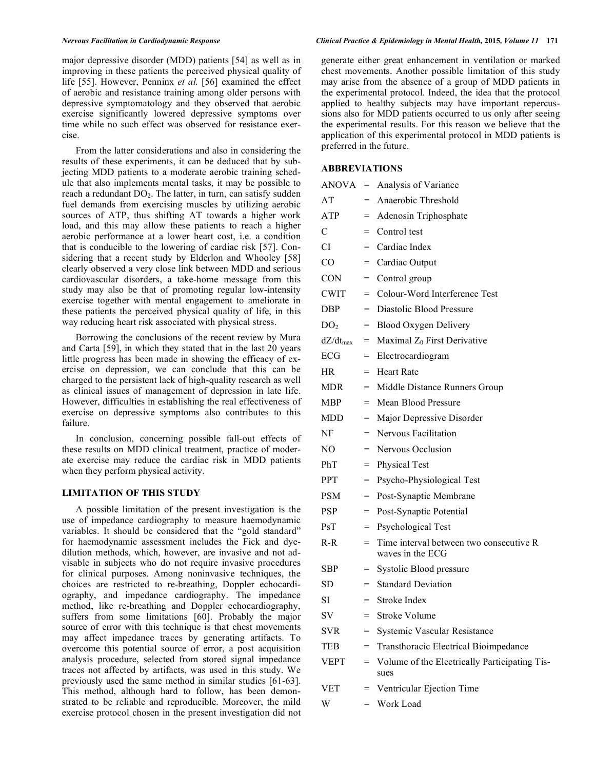major depressive disorder (MDD) patients [54] as well as in improving in these patients the perceived physical quality of life [55]. However, Penninx *et al.* [56] examined the effect of aerobic and resistance training among older persons with depressive symptomatology and they observed that aerobic exercise significantly lowered depressive symptoms over time while no such effect was observed for resistance exercise.

From the latter considerations and also in considering the results of these experiments, it can be deduced that by subjecting MDD patients to a moderate aerobic training schedule that also implements mental tasks, it may be possible to reach a redundant  $DO<sub>2</sub>$ . The latter, in turn, can satisfy sudden fuel demands from exercising muscles by utilizing aerobic sources of ATP, thus shifting AT towards a higher work load, and this may allow these patients to reach a higher aerobic performance at a lower heart cost, i.e. a condition that is conducible to the lowering of cardiac risk [57]. Considering that a recent study by Elderlon and Whooley [58] clearly observed a very close link between MDD and serious cardiovascular disorders, a take-home message from this study may also be that of promoting regular low-intensity exercise together with mental engagement to ameliorate in these patients the perceived physical quality of life, in this way reducing heart risk associated with physical stress.

Borrowing the conclusions of the recent review by Mura and Carta [59], in which they stated that in the last 20 years little progress has been made in showing the efficacy of exercise on depression, we can conclude that this can be charged to the persistent lack of high-quality research as well as clinical issues of management of depression in late life. However, difficulties in establishing the real effectiveness of exercise on depressive symptoms also contributes to this failure.

In conclusion, concerning possible fall-out effects of these results on MDD clinical treatment, practice of moderate exercise may reduce the cardiac risk in MDD patients when they perform physical activity.

### **LIMITATION OF THIS STUDY**

A possible limitation of the present investigation is the use of impedance cardiography to measure haemodynamic variables. It should be considered that the "gold standard" for haemodynamic assessment includes the Fick and dyedilution methods, which, however, are invasive and not advisable in subjects who do not require invasive procedures for clinical purposes. Among noninvasive techniques, the choices are restricted to re-breathing, Doppler echocardiography, and impedance cardiography. The impedance method, like re-breathing and Doppler echocardiography, suffers from some limitations [60]. Probably the major source of error with this technique is that chest movements may affect impedance traces by generating artifacts. To overcome this potential source of error, a post acquisition analysis procedure, selected from stored signal impedance traces not affected by artifacts, was used in this study. We previously used the same method in similar studies [61-63]. This method, although hard to follow, has been demonstrated to be reliable and reproducible. Moreover, the mild exercise protocol chosen in the present investigation did not

#### *Nervous Facilitation in Cardiodynamic Response Clinical Practice & Epidemiology in Mental Health,* **2015***, Volume 11* **171**

generate either great enhancement in ventilation or marked chest movements. Another possible limitation of this study may arise from the absence of a group of MDD patients in the experimental protocol. Indeed, the idea that the protocol applied to healthy subjects may have important repercussions also for MDD patients occurred to us only after seeing the experimental results. For this reason we believe that the application of this experimental protocol in MDD patients is preferred in the future.

#### **ABBREVIATIONS**

| <b>ANOVA</b>    | $=$ | Analysis of Variance                                        |
|-----------------|-----|-------------------------------------------------------------|
| AT              | $=$ | Anaerobic Threshold                                         |
| ATP             | $=$ | Adenosin Triphosphate                                       |
| $\mathsf{C}$    | $=$ | Control test                                                |
| <b>CI</b>       | $=$ | Cardiac Index                                               |
| CO.             | $=$ | Cardiac Output                                              |
| CON             | $=$ | Control group                                               |
| CWIT            | $=$ | Colour-Word Interference Test                               |
| DBP.            | $=$ | Diastolic Blood Pressure                                    |
| DO <sub>2</sub> | $=$ | <b>Blood Oxygen Delivery</b>                                |
| $dZ/dt_{max}$   | $=$ | Maximal $Z_0$ First Derivative                              |
| ECG             | $=$ | Electrocardiogram                                           |
| HR.             | $=$ | <b>Heart Rate</b>                                           |
| MDR             | $=$ | Middle Distance Runners Group                               |
| MBP             | $=$ | Mean Blood Pressure                                         |
| MDD             | $=$ | Major Depressive Disorder                                   |
| NF              | $=$ | Nervous Facilitation                                        |
| NO.             | $=$ | Nervous Occlusion                                           |
| PhT             | $=$ | <b>Physical Test</b>                                        |
| PPT             | $=$ | Psycho-Physiological Test                                   |
| PSM             | $=$ | Post-Synaptic Membrane                                      |
| <b>PSP</b>      | $=$ | Post-Synaptic Potential                                     |
| PsT             | $=$ | Psychological Test                                          |
| $R-R$           | $=$ | Time interval between two consecutive R<br>waves in the ECG |
| <b>SBP</b>      | $=$ | Systolic Blood pressure                                     |
| <b>SD</b>       | $=$ | <b>Standard Deviation</b>                                   |
| SI              |     | $=$ Stroke Index                                            |
| SV              |     | = Stroke Volume                                             |
| <b>SVR</b>      | $=$ | Systemic Vascular Resistance                                |
| TEB             | $=$ | Transthoracic Electrical Bioimpedance                       |
| VEPT            | $=$ | Volume of the Electrically Participating Tis-<br>sues       |
| <b>VET</b>      | =   | Ventricular Ejection Time                                   |
| W               | =   | Work Load                                                   |
|                 |     |                                                             |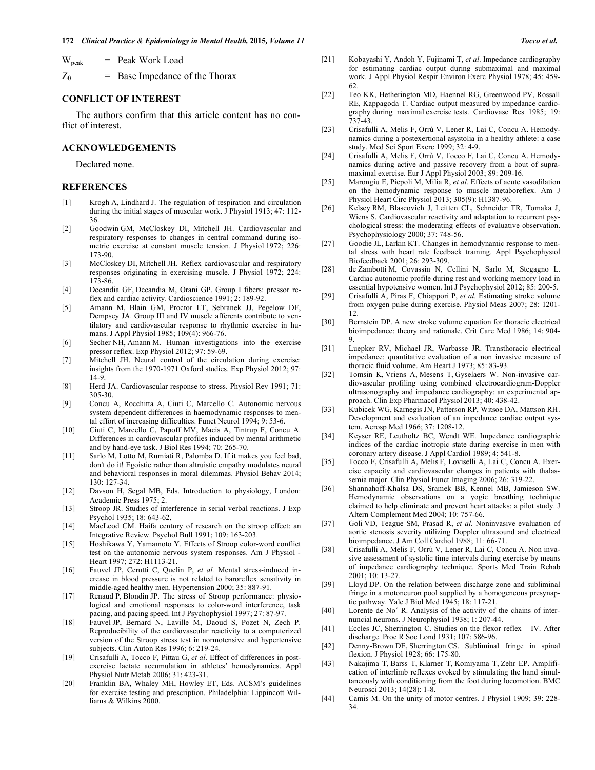$W_{\text{peak}}$  = Peak Work Load

 $Z_0$  = Base Impedance of the Thorax

#### **CONFLICT OF INTEREST**

The authors confirm that this article content has no conflict of interest.

#### **ACKNOWLEDGEMENTS**

Declared none.

#### **REFERENCES**

- [1] Krogh A, Lindhard J. The regulation of respiration and circulation during the initial stages of muscular work. J Physiol 1913; 47: 112- 36.
- [2] Goodwin GM, McCloskey DI, Mitchell JH. Cardiovascular and respiratory responses to changes in central command during isometric exercise at constant muscle tension. J Physiol 1972; 226: 173-90.
- [3] McCloskey DI, Mitchell JH. Reflex cardiovascular and respiratory responses originating in exercising muscle. J Physiol 1972; 224: 173-86.
- [4] Decandia GF, Decandia M, Orani GP. Group I fibers: pressor reflex and cardiac activity. Cardioscience 1991; 2: 189-92.
- [5] Amann M, Blain GM, Proctor LT, Sebranek JJ, Pegelow DF, Dempsey JA. Group III and IV muscle afferents contribute to ventilatory and cardiovascular response to rhythmic exercise in humans. J Appl Physiol 1985; 109(4): 966-76.
- [6] Secher NH, Amann M. Human investigations into the exercise pressor reflex. Exp Physiol 2012; 97: 59-69.
- [7] Mitchell JH. Neural control of the circulation during exercise: insights from the 1970-1971 Oxford studies. Exp Physiol 2012; 97: 14-9.
- [8] Herd JA. Cardiovascular response to stress. Physiol Rev 1991; 71: 305-30.
- [9] Concu A, Rocchitta A, Ciuti C, Marcello C. Autonomic nervous system dependent differences in haemodynamic responses to mental effort of increasing difficulties. Funct Neurol 1994; 9: 53-6.
- [10] Ciuti C, Marcello C, Papoff MV, Macis A, Tintrup F, Concu A. Differences in cardiovascular profiles induced by mental arithmetic and by hand-eye task. J Biol Res 1994; 70: 265-70.
- [11] Sarlo M, Lotto M, Rumiati R, Palomba D. If it makes you feel bad, don't do it! Egoistic rather than altruistic empathy modulates neural and behavioral responses in moral dilemmas. Physiol Behav 2014; 130: 127-34.
- [12] Davson H, Segal MB, Eds. Introduction to physiology, London: Academic Press 1975; 2.
- [13] Stroop JR. Studies of interference in serial verbal reactions. J Exp Psychol 1935; 18: 643-62.
- [14] MacLeod CM. Haifa century of research on the stroop effect: an Integrative Review. Psychol Bull 1991; 109: 163-203.
- [15] Hoshikawa Y, Yamamoto Y. Effects of Stroop color-word conflict test on the autonomic nervous system responses. Am J Physiol - Heart 1997; 272: H1113-21.
- [16] Fauvel JP, Cerutti C, Quelin P, et al. Mental stress-induced increase in blood pressure is not related to baroreflex sensitivity in middle-aged healthy men. Hypertension 2000; 35: 887-91.
- [17] Renaud P, Blondin JP. The stress of Stroop performance: physiological and emotional responses to color-word interference, task pacing, and pacing speed. Int J Psychophysiol 1997; 27: 87-97.
- [18] Fauvel JP, Bernard N, Laville M, Daoud S, Pozet N, Zech P. Reproducibility of the cardiovascular reactivity to a computerized version of the Stroop stress test in normotensive and hypertensive subjects. Clin Auton Res 1996; 6: 219-24.
- [19] Crisafulli A, Tocco F, Pittau G, *et al*. Effect of differences in postexercise lactate accumulation in athletes' hemodynamics. Appl Physiol Nutr Metab 2006; 31: 423-31.
- [20] Franklin BA, Whaley MH, Howley ET, Eds. ACSM's guidelines for exercise testing and prescription. Philadelphia: Lippincott Williams & Wilkins 2000.
- [21] Kobayashi Y, Andoh Y, Fujinami T, *et al*. Impedance cardiography for estimating cardiac output during submaximal and maximal work. J Appl Physiol Respir Environ Exerc Physiol 1978; 45: 459- 62.
- [22] Teo KK, Hetherington MD, Haennel RG, Greenwood PV, Rossall RE, Kappagoda T. Cardiac output measured by impedance cardiography during maximal exercise tests. Cardiovasc Res 1985; 19: 737-43.
- [23] Crisafulli A, Melis F, Orrù V, Lener R, Lai C, Concu A. Hemodynamics during a postexertional asystolia in a healthy athlete: a case study. Med Sci Sport Exerc 1999; 32: 4-9.
- [24] Crisafulli A, Melis F, Orrù V, Tocco F, Lai C, Concu A. Hemodynamics during active and passive recovery from a bout of supramaximal exercise. Eur J Appl Physiol 2003; 89: 209-16.
- [25] Marongiu E, Piepoli M, Milia R, *et al.* Effects of acute vasodilation on the hemodynamic response to muscle metaboreflex. Am J Physiol Heart Circ Physiol 2013; 305(9): H1387-96.
- [26] Kelsey RM, Blascovich J, Leitten CL, Schneider TR, Tomaka J, Wiens S. Cardiovascular reactivity and adaptation to recurrent psychological stress: the moderating effects of evaluative observation. Psychophysiology 2000; 37: 748-56.
- [27] Goodie JL, Larkin KT. Changes in hemodynamic response to mental stress with heart rate feedback training. Appl Psychophysiol Biofeedback 2001; 26: 293-309.
- [28] de Zambotti M, Covassin N, Cellini N, Sarlo M, Stegagno L. Cardiac autonomic profile during rest and working memory load in essential hypotensive women. Int J Psychophysiol 2012; 85: 200-5.
- [29] Crisafulli A, Piras F, Chiappori P, *et al.* Estimating stroke volume from oxygen pulse during exercise. Physiol Meas 2007; 28: 1201- 12.
- [30] Bernstein DP. A new stroke volume equation for thoracic electrical bioimpedance: theory and rationale. Crit Care Med 1986; 14: 904- 9.
- [31] Luepker RV, Michael JR, Warbasse JR. Transthoracic electrical impedance: quantitative evaluation of a non invasive measure of thoracic fluid volume. Am Heart J 1973; 85: 83-93.
- [32] Tomsin K, Vriens A, Mesens T, Gyselaers W. Non-invasive cardiovascular profiling using combined electrocardiogram-Doppler ultrasonography and impedance cardiography: an experimental approach. Clin Exp Pharmacol Physiol 2013; 40: 438-42.
- [33] Kubicek WG, Karnegis JN, Patterson RP, Witsoe DA, Mattson RH. Development and evaluation of an impedance cardiac output system. Aerosp Med 1966; 37: 1208-12.
- [34] Keyser RE, Leutholtz BC, Wendt WE. Impedance cardiographic indices of the cardiac inotropic state during exercise in men with coronary artery disease. J Appl Cardiol 1989; 4: 541-8.
- [35] Tocco F, Crisafulli A, Melis F, Loviselli A, Lai C, Concu A. Exercise capacity and cardiovascular changes in patients with thalassemia major. Clin Physiol Funct Imaging 2006; 26: 319-22.
- [36] Shannahoff-Khalsa DS, Sramek BB, Kennel MB, Jamieson SW. Hemodynamic observations on a yogic breathing technique claimed to help eliminate and prevent heart attacks: a pilot study. J Altern Complement Med 2004; 10: 757-66.
- [37] Goli VD, Teague SM, Prasad R, *et al.* Noninvasive evaluation of aortic stenosis severity utilizing Doppler ultrasound and electrical bioimpedance. J Am Coll Cardiol 1988; 11: 66-71.
- [38] Crisafulli A, Melis F, Orrù V, Lener R, Lai C, Concu A. Non invasive assessment of systolic time intervals during exercise by means of impedance cardiography technique. Sports Med Train Rehab 2001; 10: 13-27.
- [39] Lloyd DP. On the relation between discharge zone and subliminal fringe in a motoneuron pool supplied by a homogeneous presynaptic pathway. Yale J Biol Med 1945; 18: 117-21.
- [40] Lorente de No' R. Analysis of the activity of the chains of internuncial neurons. J Neurophysiol 1938; 1: 207-44.
- [41] Eccles JC, Sherrington C. Studies on the flexor reflex IV. After discharge. Proc R Soc Lond 1931; 107: 586-96.
- [42] Denny-Brown DE, Sherrington CS. Subliminal fringe in spinal flexion. J Physiol 1928; 66: 175-80.
- [43] Nakajima T, Barss T, Klarner T, Komiyama T, Zehr EP. Amplification of interlimb reflexes evoked by stimulating the hand simultaneously with conditioning from the foot during locomotion. BMC Neurosci 2013; 14(28): 1-8.
- [44] Camis M. On the unity of motor centres. J Physiol 1909; 39: 228-34.